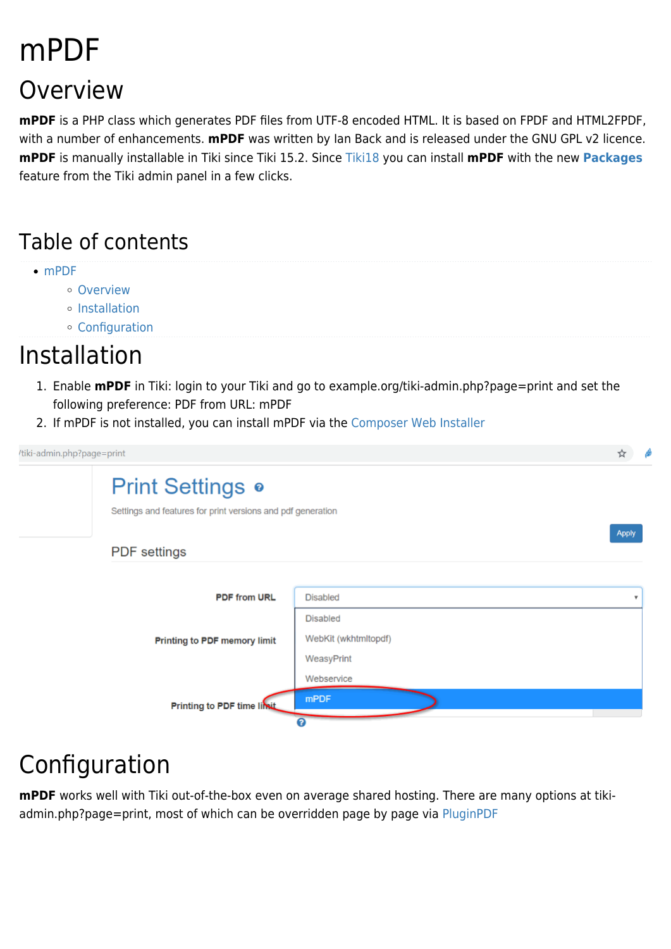# mPDF Overview

### **mPDF** is a PHP class which generates PDF files from UTF-8 encoded HTML. It is based on FPDF and HTML2FPDF, with a number of enhancements. **mPDF** was written by Ian Back and is released under the GNU GPL v2 licence. **mPDF** is manually installable in Tiki since Tiki 15.2. Since [Tiki18](https://doc.tiki.org/Tiki18) you can install **mPDF** with the new **[Packages](https://doc.tiki.org/Packages)** feature from the Tiki admin panel in a few clicks.

### Table of contents

- [mPDF](#page--1-0)
	- [Overview](#page--1-0)
	- [Installation](#page--1-0)
	- [Configuration](#page--1-0)

### Installation

- 1. Enable **mPDF** in Tiki: login to your Tiki and go to example.org/tiki-admin.php?page=print and set the following preference: PDF from URL: mPDF
- 2. If mPDF is not installed, you can install mPDF via the [Composer Web Installer](https://doc.tiki.org/Composer%20Web%20Installer)

tiki-admin.php?page=print ⊹ **Print Settings o** 

Settings and features for print versions and pdf generation

#### **PDF** settings



**Apply** 

## Configuration

**mPDF** works well with Tiki out-of-the-box even on average shared hosting. There are many options at tikiadmin.php?page=print, most of which can be overridden page by page via [PluginPDF](https://doc.tiki.org/PluginPDF)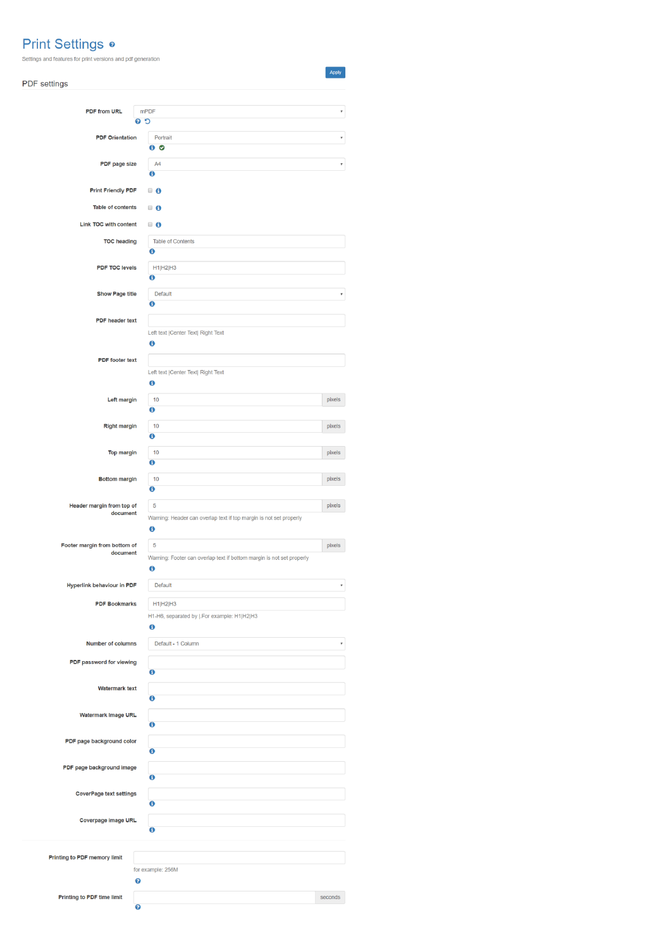#### **Print Settings o**

Settings and features for print versions and pdf generation

| <b>PDF</b> settings                   |                                                                       | Apply   |
|---------------------------------------|-----------------------------------------------------------------------|---------|
|                                       |                                                                       |         |
| <b>PDF from URL</b>                   | <b>mPDF</b>                                                           |         |
|                                       | $C$ 0                                                                 |         |
| <b>PDF Orientation</b>                | Portrait                                                              |         |
|                                       | $\bullet$ $\bullet$                                                   |         |
| PDF page size                         | A <sub>4</sub>                                                        |         |
|                                       | 0                                                                     |         |
| <b>Print Friendly PDF</b>             | ■ 6                                                                   |         |
|                                       |                                                                       |         |
| <b>Table of contents</b>              | $\Box$ 6                                                              |         |
| Link TOC with content                 | $\blacksquare$ 6                                                      |         |
| <b>TOC</b> heading                    | Table of Contents                                                     |         |
|                                       | Ä                                                                     |         |
| <b>PDF TOC levels</b>                 | H1 H2 H3                                                              |         |
|                                       | Θ                                                                     |         |
| <b>Show Page title</b>                | <b>Default</b>                                                        |         |
|                                       | $\bullet$                                                             |         |
| <b>PDF</b> header text                |                                                                       |         |
|                                       | Left text   Center Text  Right Text                                   |         |
|                                       | $\mathbf 0$                                                           |         |
|                                       |                                                                       |         |
| <b>PDF</b> footer text                |                                                                       |         |
|                                       | Left text   Center Text  Right Text<br>0                              |         |
|                                       |                                                                       |         |
| Left margin                           | 10<br>$\bf{O}$                                                        | pixels  |
|                                       |                                                                       |         |
| <b>Right margin</b>                   | 10                                                                    | pixels  |
|                                       | 0                                                                     |         |
| <b>Top margin</b>                     | 10                                                                    | pixels  |
|                                       | 0                                                                     |         |
| <b>Bottom margin</b>                  | 10                                                                    | pixels  |
|                                       | 0                                                                     |         |
| Header margin from top of<br>document | 5                                                                     | pixels  |
|                                       | Warning: Header can overlap text if top margin is not set properly    |         |
|                                       | $\mathbf 0$                                                           |         |
| Footer margin from bottom of          | 5                                                                     | pixels  |
| document                              | Warning: Footer can overlap text if bottom margin is not set properly |         |
|                                       | $\mathbf 6$                                                           |         |
| <b>Hyperlink behaviour in PDF</b>     | <b>Default</b>                                                        | ٧       |
| <b>PDF Bookmarks</b>                  | H1 H2 H3                                                              |         |
|                                       | H1-H6, separated by  .For example: H1 H2 H3                           |         |
|                                       | 0                                                                     |         |
|                                       |                                                                       |         |
| <b>Number of columns</b>              | Default - 1 Column                                                    | v       |
| PDF password for viewing              |                                                                       |         |
|                                       | $\bullet$                                                             |         |
| <b>Watermark text</b>                 |                                                                       |         |
|                                       | $\ddot{\mathbf{c}}$                                                   |         |
| Watermark Image URL                   |                                                                       |         |
|                                       | $\mathbf 6$                                                           |         |
| PDF page background color             |                                                                       |         |
|                                       | $\mathbf 6$                                                           |         |
| PDF page background image             |                                                                       |         |
|                                       | $\bullet$                                                             |         |
| <b>CoverPage text settings</b>        |                                                                       |         |
|                                       | 0                                                                     |         |
| Coverpage Image URL                   |                                                                       |         |
|                                       | $\mathbf 6$                                                           |         |
|                                       |                                                                       |         |
| Printing to PDF memory limit          |                                                                       |         |
|                                       | for example: 256M                                                     |         |
|                                       | ℯ                                                                     |         |
| Printing to PDF time limit            |                                                                       | seconds |
|                                       | ๏                                                                     |         |
|                                       |                                                                       |         |